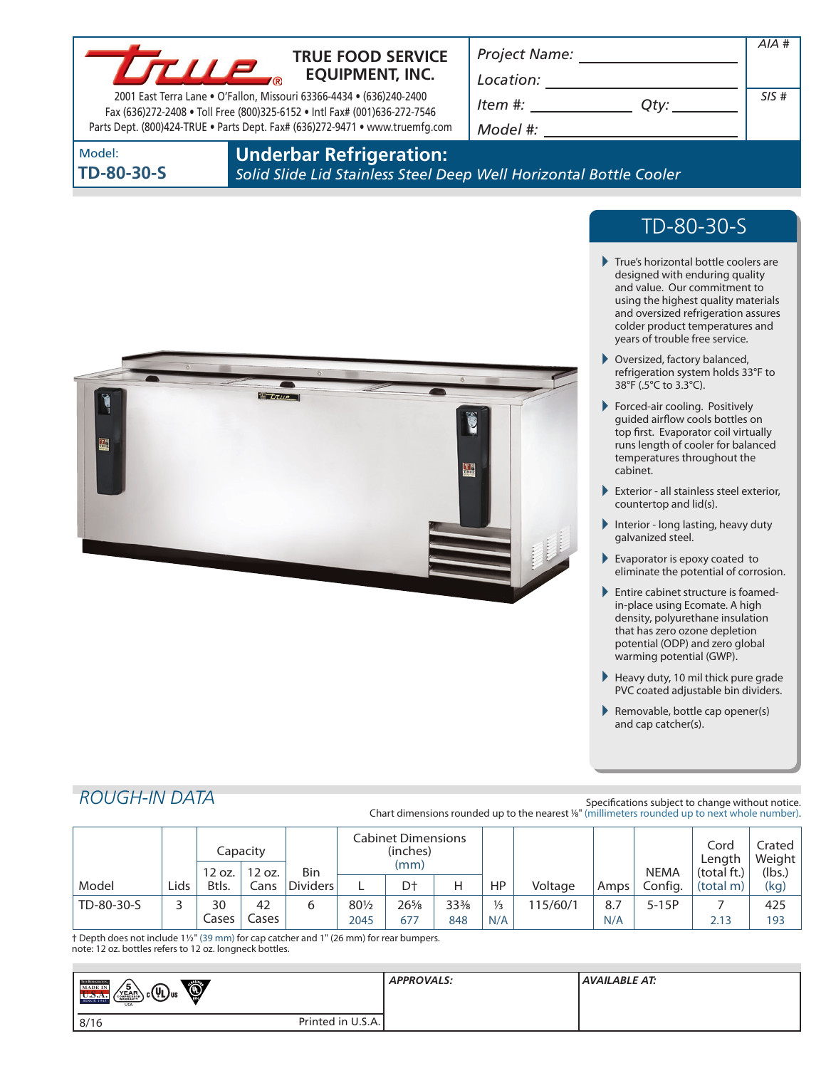

## **TRUE FOOD SERVICE EQUIPMENT, INC.**

2001 East Terra Lane • O'Fallon, Missouri 63366-4434 • (636)240-2400 Fax (636)272-2408 • Toll Free (800)325-6152 • Intl Fax# (001)636-272-7546 Parts Dept. (800)424-TRUE • Parts Dept. Fax# (636)272-9471 • www.truemfg.com *Project Name:*

*Location: Item #:*  $\Box$ 

*Model #:*

| SIS# |
|------|
|      |
|      |

Model: **TD-80-30-S**

## **Underbar Refrigeration:**

*Solid Slide Lid Stainless Steel Deep Well Horizontal Bottle Cooler*

# TD-80-30-S

*AIA #*

- True's horizontal bottle coolers are designed with enduring quality and value. Our commitment to using the highest quality materials and oversized refrigeration assures colder product temperatures and years of trouble free service.
- ▶ Oversized, factory balanced, refrigeration system holds 33°F to 38°F (.5°C to 3.3°C).
- Forced-air cooling. Positively guided airflow cools bottles on top first. Evaporator coil virtually runs length of cooler for balanced temperatures throughout the cabinet.
- Exterior all stainless steel exterior, countertop and lid(s).
- Interior long lasting, heavy duty galvanized steel.
- Evaporator is epoxy coated to eliminate the potential of corrosion.
- Entire cabinet structure is foamedin-place using Ecomate. A high density, polyurethane insulation that has zero ozone depletion potential (ODP) and zero global warming potential (GWP).
- $\blacktriangleright$  Heavy duty, 10 mil thick pure grade PVC coated adjustable bin dividers.
- Removable, bottle cap opener(s) and cap catcher(s).

## *ROUGH-IN DATA*

Specifications subject to change without notice. Chart dimensions rounded up to the nearest %" (millimeters rounded up to next whole number).

|            |      | 12 oz.      | Capacity<br>12 oz. | Bin             | <b>Cabinet Dimensions</b><br>(inches)<br>(mm) |               |                        |                      |          | <b>NEMA</b> | Cord<br>∟ength<br>(total ft.) | Crated I<br>Weight<br>(lbs.) |            |
|------------|------|-------------|--------------------|-----------------|-----------------------------------------------|---------------|------------------------|----------------------|----------|-------------|-------------------------------|------------------------------|------------|
| Model      | Lids | Btls.       | Cans               | <b>Dividers</b> |                                               | D†            | Н                      | HP                   | Voltage  | Amps        | Config.                       | (total m)                    | (kg)       |
| TD-80-30-S |      | 30<br>Cases | 42<br>Lases        | 6               | 801/2<br>2045                                 | $26\%$<br>677 | $33\frac{3}{8}$<br>848 | $\frac{1}{3}$<br>N/A | 115/60/1 | 8.7<br>N/A  | $5-15P$                       | 2.13                         | 425<br>193 |

† Depth does not include 11/2" (39 mm) for cap catcher and 1" (26 mm) for rear bumpers. note: 12 oz. bottles refers to 12 oz. longneck bottles.

| <b>TECK REFEREEMENT</b><br>Ó<br>$\sqrt{\frac{5}{\text{YEAR}}}$<br>MADE IN<br><sub>յ շ</sub> (Պ) <sub>ս</sub> ա<br><b>SINCE 194:</b><br><b>USA</b> | <b>APPROVALS:</b> | AVAILABLE AT: |
|---------------------------------------------------------------------------------------------------------------------------------------------------|-------------------|---------------|
| 8/16                                                                                                                                              | Printed in U.S.A. |               |